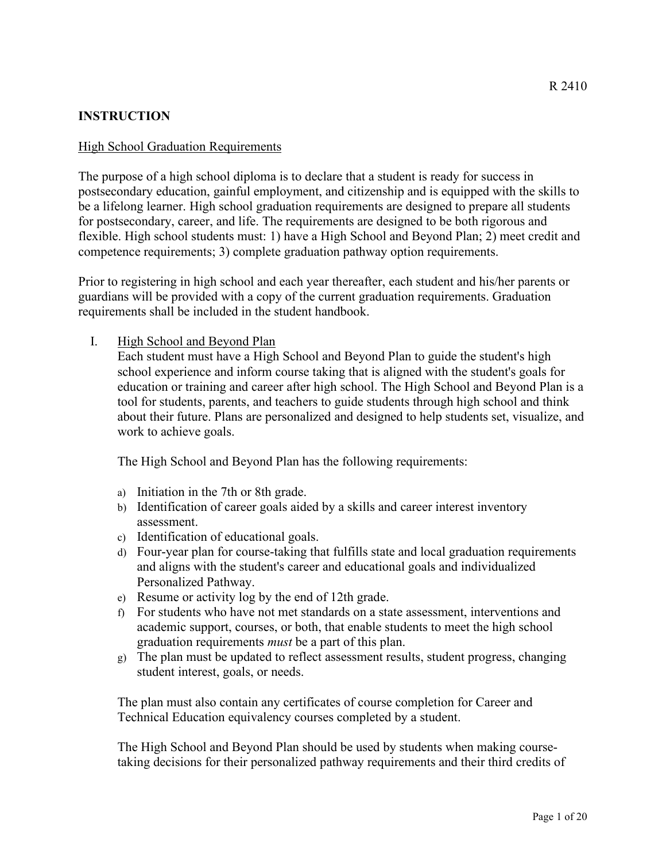# **INSTRUCTION**

#### High School Graduation Requirements

The purpose of a high school diploma is to declare that a student is ready for success in postsecondary education, gainful employment, and citizenship and is equipped with the skills to be a lifelong learner. High school graduation requirements are designed to prepare all students for postsecondary, career, and life. The requirements are designed to be both rigorous and flexible. High school students must: 1) have a High School and Beyond Plan; 2) meet credit and competence requirements; 3) complete graduation pathway option requirements.

Prior to registering in high school and each year thereafter, each student and his/her parents or guardians will be provided with a copy of the current graduation requirements. Graduation requirements shall be included in the student handbook.

### I. High School and Beyond Plan

Each student must have a High School and Beyond Plan to guide the student's high school experience and inform course taking that is aligned with the student's goals for education or training and career after high school. The High School and Beyond Plan is a tool for students, parents, and teachers to guide students through high school and think about their future. Plans are personalized and designed to help students set, visualize, and work to achieve goals.

The High School and Beyond Plan has the following requirements:

- a) Initiation in the 7th or 8th grade.
- b) Identification of career goals aided by a skills and career interest inventory assessment.
- c) Identification of educational goals.
- d) Four-year plan for course-taking that fulfills state and local graduation requirements and aligns with the student's career and educational goals and individualized Personalized Pathway.
- e) Resume or activity log by the end of 12th grade.
- f) For students who have not met standards on a state assessment, interventions and academic support, courses, or both, that enable students to meet the high school graduation requirements *must* be a part of this plan.
- g) The plan must be updated to reflect assessment results, student progress, changing student interest, goals, or needs.

The plan must also contain any certificates of course completion for Career and Technical Education equivalency courses completed by a student.

The High School and Beyond Plan should be used by students when making coursetaking decisions for their personalized pathway requirements and their third credits of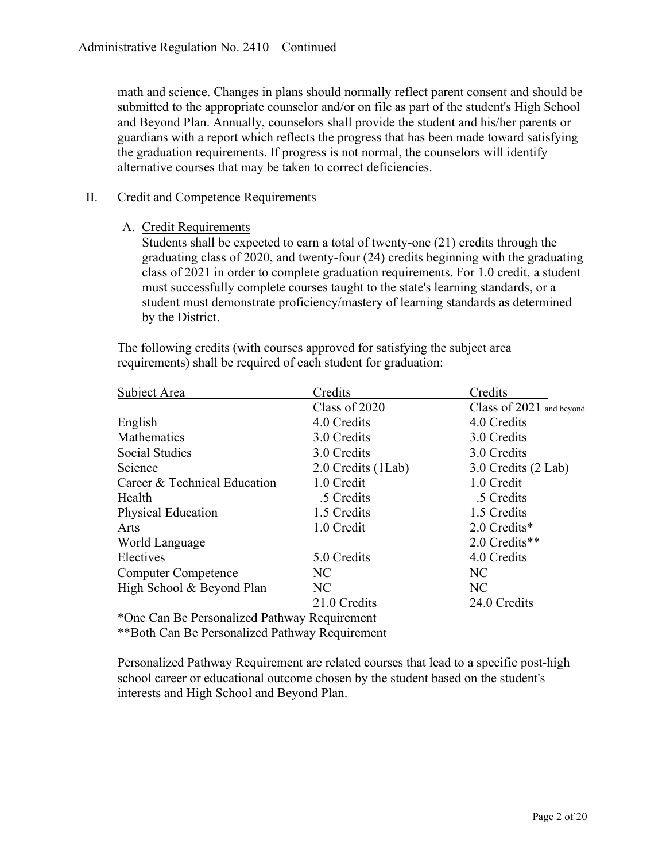math and science. Changes in plans should normally reflect parent consent and should be submitted to the appropriate counselor and/or on file as part of the student's High School and Beyond Plan. Annually, counselors shall provide the student and his/her parents or guardians with a report which reflects the progress that has been made toward satisfying the graduation requirements. If progress is not normal, the counselors will identify alternative courses that may be taken to correct deficiencies.

### II. Credit and Competence Requirements

A. Credit Requirements

Students shall be expected to earn a total of twenty-one (21) credits through the graduating class of 2020, and twenty-four (24) credits beginning with the graduating class of 2021 in order to complete graduation requirements. For 1.0 credit, a student must successfully complete courses taught to the state's learning standards, or a student must demonstrate proficiency/mastery of learning standards as determined by the District.

The following credits (with courses approved for satisfying the subject area requirements) shall be required of each student for graduation:

| Subject Area                                   | Credits            | Credits                  |
|------------------------------------------------|--------------------|--------------------------|
|                                                | Class of 2020      | Class of 2021 and beyond |
| English                                        | 4.0 Credits        | 4.0 Credits              |
| Mathematics                                    | 3.0 Credits        | 3.0 Credits              |
| <b>Social Studies</b>                          | 3.0 Credits        | 3.0 Credits              |
| Science                                        | 2.0 Credits (1Lab) | 3.0 Credits (2 Lab)      |
| Career & Technical Education                   | 1.0 Credit         | 1.0 Credit               |
| Health                                         | .5 Credits         | .5 Credits               |
| <b>Physical Education</b>                      | 1.5 Credits        | 1.5 Credits              |
| Arts                                           | 1.0 Credit         | 2.0 Credits*             |
| World Language                                 |                    | 2.0 Credits**            |
| Electives                                      | 5.0 Credits        | 4.0 Credits              |
| <b>Computer Competence</b>                     | NC.                | NC                       |
| High School & Beyond Plan                      | NC.                | NC                       |
|                                                | 21.0 Credits       | 24.0 Credits             |
| *One Can Be Personalized Pathway Requirement   |                    |                          |
| **Both Can Be Personalized Pathway Requirement |                    |                          |

Personalized Pathway Requirement are related courses that lead to a specific post-high school career or educational outcome chosen by the student based on the student's interests and High School and Beyond Plan.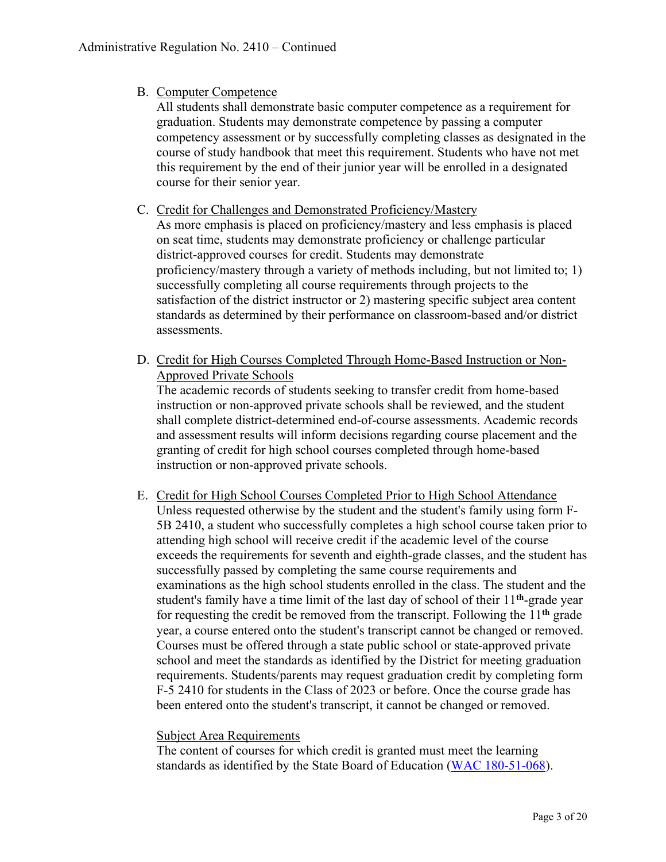### B. Computer Competence

All students shall demonstrate basic computer competence as a requirement for graduation. Students may demonstrate competence by passing a computer competency assessment or by successfully completing classes as designated in the course of study handbook that meet this requirement. Students who have not met this requirement by the end of their junior year will be enrolled in a designated course for their senior year.

### C. Credit for Challenges and Demonstrated Proficiency/Mastery

As more emphasis is placed on proficiency/mastery and less emphasis is placed on seat time, students may demonstrate proficiency or challenge particular district-approved courses for credit. Students may demonstrate proficiency/mastery through a variety of methods including, but not limited to; 1) successfully completing all course requirements through projects to the satisfaction of the district instructor or 2) mastering specific subject area content standards as determined by their performance on classroom-based and/or district assessments.

D. Credit for High Courses Completed Through Home-Based Instruction or Non-Approved Private Schools

The academic records of students seeking to transfer credit from home-based instruction or non-approved private schools shall be reviewed, and the student shall complete district-determined end-of-course assessments. Academic records and assessment results will inform decisions regarding course placement and the granting of credit for high school courses completed through home-based instruction or non-approved private schools.

E. Credit for High School Courses Completed Prior to High School Attendance Unless requested otherwise by the student and the student's family using form F-5B 2410, a student who successfully completes a high school course taken prior to attending high school will receive credit if the academic level of the course exceeds the requirements for seventh and eighth-grade classes, and the student has successfully passed by completing the same course requirements and examinations as the high school students enrolled in the class. The student and the student's family have a time limit of the last day of school of their 11**th**-grade year for requesting the credit be removed from the transcript. Following the 11**th** grade year, a course entered onto the student's transcript cannot be changed or removed. Courses must be offered through a state public school or state-approved private school and meet the standards as identified by the District for meeting graduation requirements. Students/parents may request graduation credit by completing form F-5 2410 for students in the Class of 2023 or before. Once the course grade has been entered onto the student's transcript, it cannot be changed or removed.

### Subject Area Requirements

The content of courses for which credit is granted must meet the learning standards as identified by the State Board of Education [\(WAC 180-51-068\)](http://apps.leg.wa.gov/wac/default.aspx?cite=180-51-061).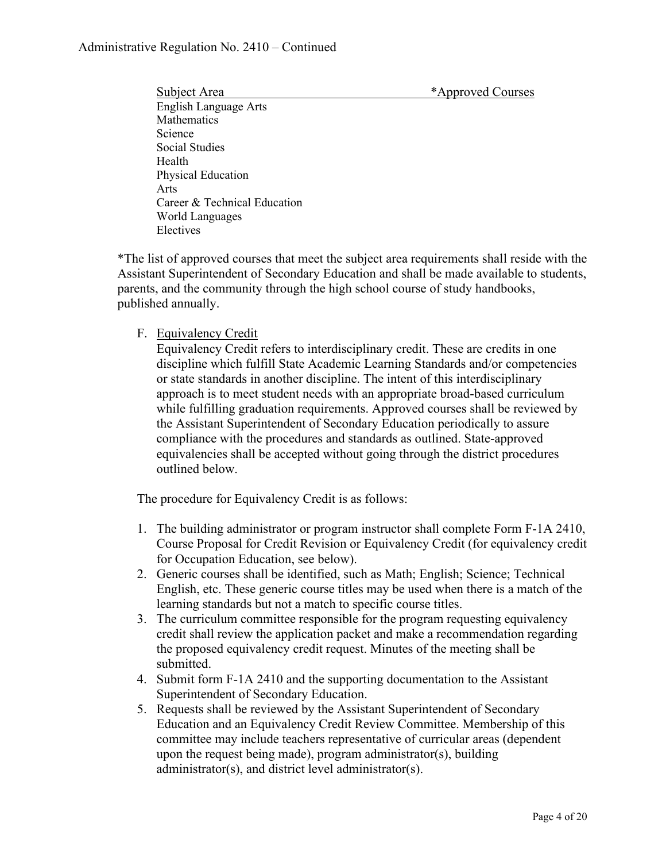Subject Area  $*$ Approved Courses

English Language Arts Mathematics Science Social Studies Health Physical Education Arts Career & Technical Education World Languages Electives

\*The list of approved courses that meet the subject area requirements shall reside with the Assistant Superintendent of Secondary Education and shall be made available to students, parents, and the community through the high school course of study handbooks, published annually.

### F. Equivalency Credit

Equivalency Credit refers to interdisciplinary credit. These are credits in one discipline which fulfill State Academic Learning Standards and/or competencies or state standards in another discipline. The intent of this interdisciplinary approach is to meet student needs with an appropriate broad-based curriculum while fulfilling graduation requirements. Approved courses shall be reviewed by the Assistant Superintendent of Secondary Education periodically to assure compliance with the procedures and standards as outlined. State-approved equivalencies shall be accepted without going through the district procedures outlined below.

The procedure for Equivalency Credit is as follows:

- 1. The building administrator or program instructor shall complete Form F-1A 2410, Course Proposal for Credit Revision or Equivalency Credit (for equivalency credit for Occupation Education, see below).
- 2. Generic courses shall be identified, such as Math; English; Science; Technical English, etc. These generic course titles may be used when there is a match of the learning standards but not a match to specific course titles.
- 3. The curriculum committee responsible for the program requesting equivalency credit shall review the application packet and make a recommendation regarding the proposed equivalency credit request. Minutes of the meeting shall be submitted.
- 4. Submit form F-1A 2410 and the supporting documentation to the Assistant Superintendent of Secondary Education.
- 5. Requests shall be reviewed by the Assistant Superintendent of Secondary Education and an Equivalency Credit Review Committee. Membership of this committee may include teachers representative of curricular areas (dependent upon the request being made), program administrator(s), building administrator(s), and district level administrator(s).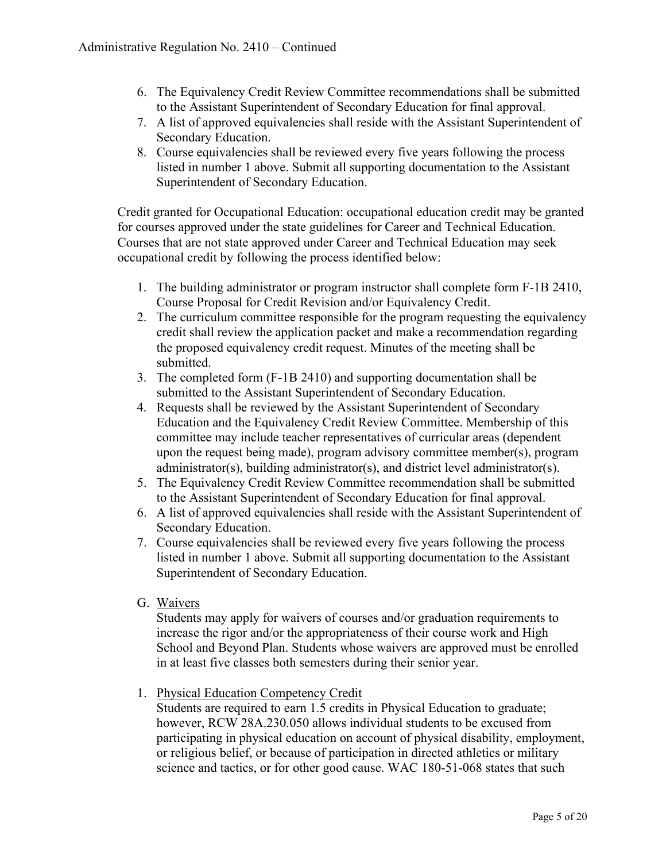- 6. The Equivalency Credit Review Committee recommendations shall be submitted to the Assistant Superintendent of Secondary Education for final approval.
- 7. A list of approved equivalencies shall reside with the Assistant Superintendent of Secondary Education.
- 8. Course equivalencies shall be reviewed every five years following the process listed in number 1 above. Submit all supporting documentation to the Assistant Superintendent of Secondary Education.

Credit granted for Occupational Education: occupational education credit may be granted for courses approved under the state guidelines for Career and Technical Education. Courses that are not state approved under Career and Technical Education may seek occupational credit by following the process identified below:

- 1. The building administrator or program instructor shall complete form F-1B 2410, Course Proposal for Credit Revision and/or Equivalency Credit.
- 2. The curriculum committee responsible for the program requesting the equivalency credit shall review the application packet and make a recommendation regarding the proposed equivalency credit request. Minutes of the meeting shall be submitted.
- 3. The completed form (F-1B 2410) and supporting documentation shall be submitted to the Assistant Superintendent of Secondary Education.
- 4. Requests shall be reviewed by the Assistant Superintendent of Secondary Education and the Equivalency Credit Review Committee. Membership of this committee may include teacher representatives of curricular areas (dependent upon the request being made), program advisory committee member(s), program administrator(s), building administrator(s), and district level administrator(s).
- 5. The Equivalency Credit Review Committee recommendation shall be submitted to the Assistant Superintendent of Secondary Education for final approval.
- 6. A list of approved equivalencies shall reside with the Assistant Superintendent of Secondary Education.
- 7. Course equivalencies shall be reviewed every five years following the process listed in number 1 above. Submit all supporting documentation to the Assistant Superintendent of Secondary Education.
- G. Waivers

Students may apply for waivers of courses and/or graduation requirements to increase the rigor and/or the appropriateness of their course work and High School and Beyond Plan. Students whose waivers are approved must be enrolled in at least five classes both semesters during their senior year.

1. Physical Education Competency Credit

Students are required to earn 1.5 credits in Physical Education to graduate; however, RCW 28A.230.050 allows individual students to be excused from participating in physical education on account of physical disability, employment, or religious belief, or because of participation in directed athletics or military science and tactics, or for other good cause. WAC 180-51-068 states that such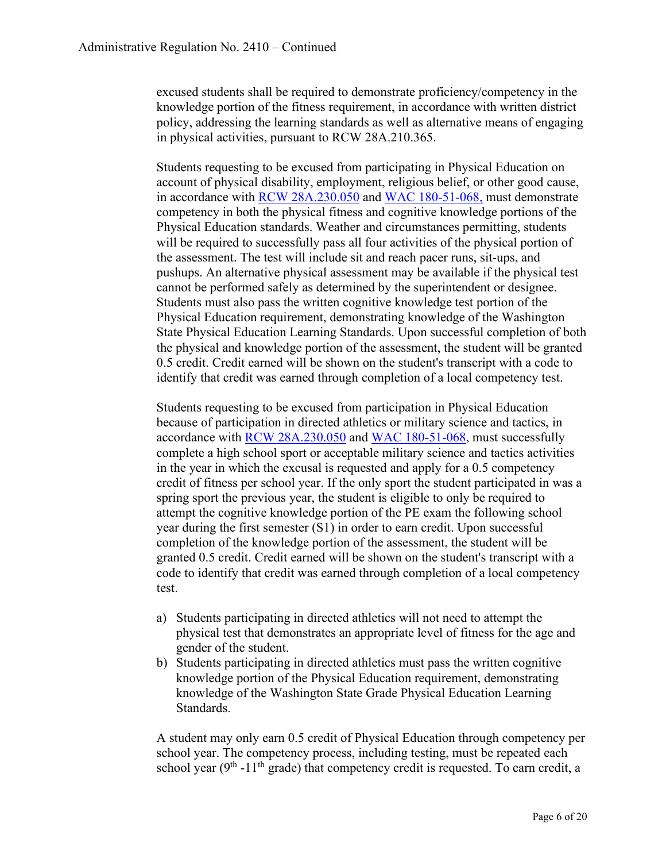excused students shall be required to demonstrate proficiency/competency in the knowledge portion of the fitness requirement, in accordance with written district policy, addressing the learning standards as well as alternative means of engaging in physical activities, pursuant to RCW 28A.210.365.

Students requesting to be excused from participating in Physical Education on account of physical disability, employment, religious belief, or other good cause, in accordance with [RCW 28A.230.050](http://apps.leg.wa.gov/rcw/default.aspx?cite=28A.230.050) and [WAC 180-51-068,](http://apps.leg.wa.gov/wac/default.aspx?cite=180-51-061) must demonstrate competency in both the physical fitness and cognitive knowledge portions of the Physical Education standards. Weather and circumstances permitting, students will be required to successfully pass all four activities of the physical portion of the assessment. The test will include sit and reach pacer runs, sit-ups, and pushups. An alternative physical assessment may be available if the physical test cannot be performed safely as determined by the superintendent or designee. Students must also pass the written cognitive knowledge test portion of the Physical Education requirement, demonstrating knowledge of the Washington State Physical Education Learning Standards. Upon successful completion of both the physical and knowledge portion of the assessment, the student will be granted 0.5 credit. Credit earned will be shown on the student's transcript with a code to identify that credit was earned through completion of a local competency test.

Students requesting to be excused from participation in Physical Education because of participation in directed athletics or military science and tactics, in accordance with [RCW 28A.230.050](http://apps.leg.wa.gov/rcw/default.aspx?cite=28A.230.050) and [WAC 180-51-068,](http://apps.leg.wa.gov/wac/default.aspx?cite=180-51-061) must successfully complete a high school sport or acceptable military science and tactics activities in the year in which the excusal is requested and apply for a 0.5 competency credit of fitness per school year. If the only sport the student participated in was a spring sport the previous year, the student is eligible to only be required to attempt the cognitive knowledge portion of the PE exam the following school year during the first semester (S1) in order to earn credit. Upon successful completion of the knowledge portion of the assessment, the student will be granted 0.5 credit. Credit earned will be shown on the student's transcript with a code to identify that credit was earned through completion of a local competency test.

- a) Students participating in directed athletics will not need to attempt the physical test that demonstrates an appropriate level of fitness for the age and gender of the student.
- b) Students participating in directed athletics must pass the written cognitive knowledge portion of the Physical Education requirement, demonstrating knowledge of the Washington State Grade Physical Education Learning Standards.

A student may only earn 0.5 credit of Physical Education through competency per school year. The competency process, including testing, must be repeated each school year ( $9<sup>th</sup>$  -11<sup>th</sup> grade) that competency credit is requested. To earn credit, a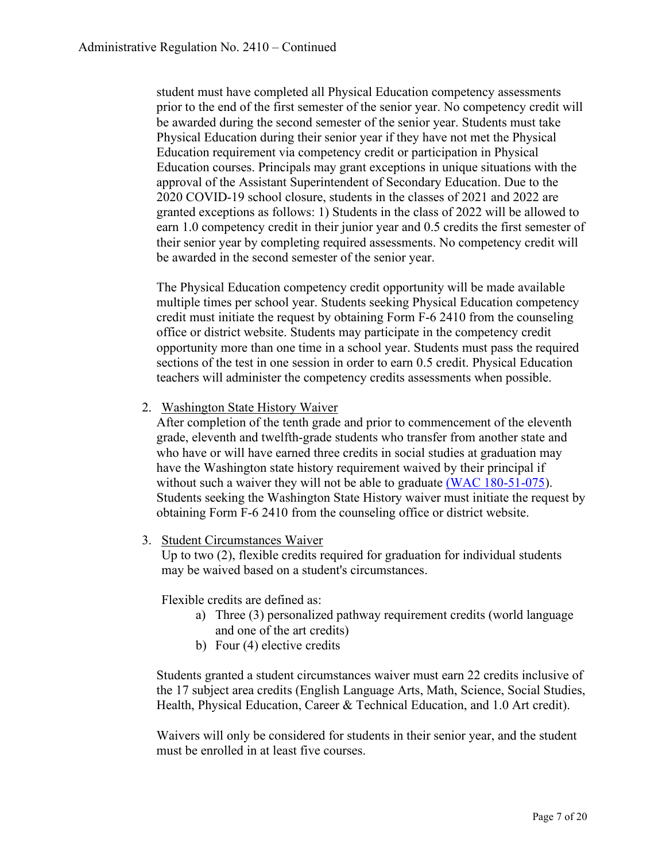student must have completed all Physical Education competency assessments prior to the end of the first semester of the senior year. No competency credit will be awarded during the second semester of the senior year. Students must take Physical Education during their senior year if they have not met the Physical Education requirement via competency credit or participation in Physical Education courses. Principals may grant exceptions in unique situations with the approval of the Assistant Superintendent of Secondary Education. Due to the 2020 COVID-19 school closure, students in the classes of 2021 and 2022 are granted exceptions as follows: 1) Students in the class of 2022 will be allowed to earn 1.0 competency credit in their junior year and 0.5 credits the first semester of their senior year by completing required assessments. No competency credit will be awarded in the second semester of the senior year.

The Physical Education competency credit opportunity will be made available multiple times per school year. Students seeking Physical Education competency credit must initiate the request by obtaining Form F-6 2410 from the counseling office or district website. Students may participate in the competency credit opportunity more than one time in a school year. Students must pass the required sections of the test in one session in order to earn 0.5 credit. Physical Education teachers will administer the competency credits assessments when possible.

2. Washington State History Waiver

After completion of the tenth grade and prior to commencement of the eleventh grade, eleventh and twelfth-grade students who transfer from another state and who have or will have earned three credits in social studies at graduation may have the Washington state history requirement waived by their principal if without such a waiver they will not be able to graduate [\(WAC 180-51-075\)](http://apps.leg.wa.gov/wac/default.aspx?cite=180-51-067). Students seeking the Washington State History waiver must initiate the request by obtaining Form F-6 2410 from the counseling office or district website.

3. Student Circumstances Waiver

Up to two (2), flexible credits required for graduation for individual students may be waived based on a student's circumstances.

Flexible credits are defined as:

- a) Three (3) personalized pathway requirement credits (world language and one of the art credits)
- b) Four (4) elective credits

Students granted a student circumstances waiver must earn 22 credits inclusive of the 17 subject area credits (English Language Arts, Math, Science, Social Studies, Health, Physical Education, Career & Technical Education, and 1.0 Art credit).

Waivers will only be considered for students in their senior year, and the student must be enrolled in at least five courses.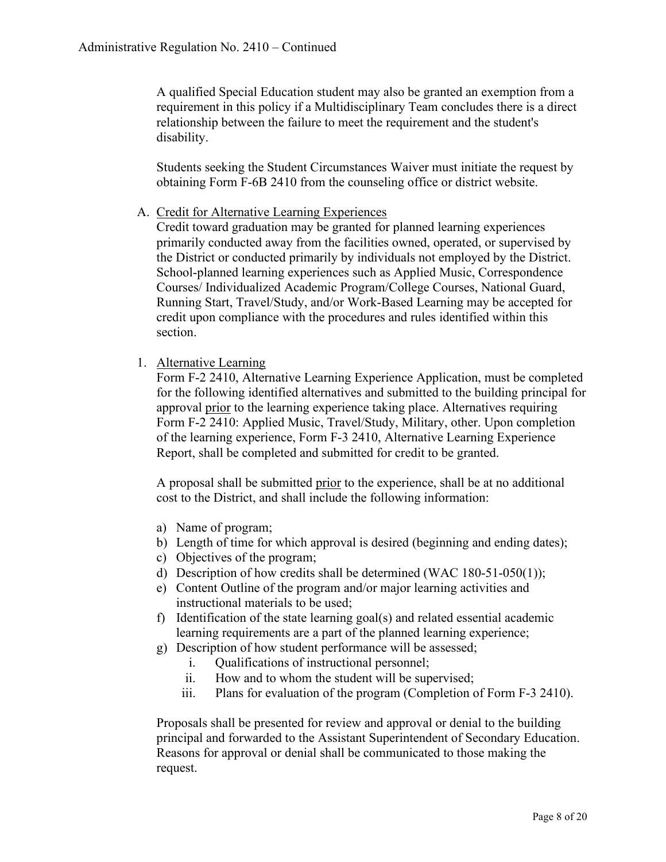A qualified Special Education student may also be granted an exemption from a requirement in this policy if a Multidisciplinary Team concludes there is a direct relationship between the failure to meet the requirement and the student's disability.

Students seeking the Student Circumstances Waiver must initiate the request by obtaining Form F-6B 2410 from the counseling office or district website.

A. Credit for Alternative Learning Experiences

Credit toward graduation may be granted for planned learning experiences primarily conducted away from the facilities owned, operated, or supervised by the District or conducted primarily by individuals not employed by the District. School-planned learning experiences such as Applied Music, Correspondence Courses/ Individualized Academic Program/College Courses, National Guard, Running Start, Travel/Study, and/or Work-Based Learning may be accepted for credit upon compliance with the procedures and rules identified within this section.

1. Alternative Learning

Form F-2 2410, Alternative Learning Experience Application, must be completed for the following identified alternatives and submitted to the building principal for approval prior to the learning experience taking place. Alternatives requiring Form F-2 2410: Applied Music, Travel/Study, Military, other. Upon completion of the learning experience, Form F-3 2410, Alternative Learning Experience Report, shall be completed and submitted for credit to be granted.

A proposal shall be submitted prior to the experience, shall be at no additional cost to the District, and shall include the following information:

- a) Name of program;
- b) Length of time for which approval is desired (beginning and ending dates);
- c) Objectives of the program;
- d) Description of how credits shall be determined (WAC 180-51-050(1));
- e) Content Outline of the program and/or major learning activities and instructional materials to be used;
- f) Identification of the state learning goal(s) and related essential academic learning requirements are a part of the planned learning experience;
- g) Description of how student performance will be assessed;
	- i. Qualifications of instructional personnel;
	- ii. How and to whom the student will be supervised;
	- iii. Plans for evaluation of the program (Completion of Form F-3 2410).

Proposals shall be presented for review and approval or denial to the building principal and forwarded to the Assistant Superintendent of Secondary Education. Reasons for approval or denial shall be communicated to those making the request.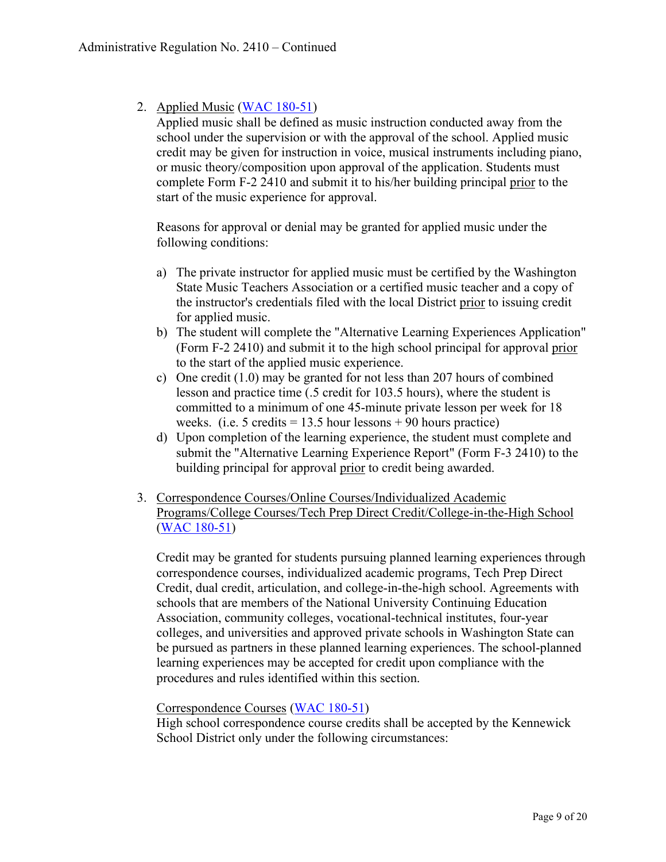2. Applied Music [\(WAC 180-51\)](http://apps.leg.wa.gov/wac/default.aspx?cite=180-51)

Applied music shall be defined as music instruction conducted away from the school under the supervision or with the approval of the school. Applied music credit may be given for instruction in voice, musical instruments including piano, or music theory/composition upon approval of the application. Students must complete Form F-2 2410 and submit it to his/her building principal prior to the start of the music experience for approval.

Reasons for approval or denial may be granted for applied music under the following conditions:

- a) The private instructor for applied music must be certified by the Washington State Music Teachers Association or a certified music teacher and a copy of the instructor's credentials filed with the local District prior to issuing credit for applied music.
- b) The student will complete the "Alternative Learning Experiences Application" (Form F-2 2410) and submit it to the high school principal for approval prior to the start of the applied music experience.
- c) One credit (1.0) may be granted for not less than 207 hours of combined lesson and practice time (.5 credit for 103.5 hours), where the student is committed to a minimum of one 45-minute private lesson per week for 18 weeks. (i.e. 5 credits  $= 13.5$  hour lessons  $+ 90$  hours practice)
- d) Upon completion of the learning experience, the student must complete and submit the "Alternative Learning Experience Report" (Form F-3 2410) to the building principal for approval prior to credit being awarded.
- 3. Correspondence Courses/Online Courses/Individualized Academic Programs/College Courses/Tech Prep Direct Credit/College-in-the-High School [\(WAC 180-51\)](http://apps.leg.wa.gov/wac/default.aspx?cite=180-51)

Credit may be granted for students pursuing planned learning experiences through correspondence courses, individualized academic programs, Tech Prep Direct Credit, dual credit, articulation, and college-in-the-high school. Agreements with schools that are members of the National University Continuing Education Association, community colleges, vocational-technical institutes, four-year colleges, and universities and approved private schools in Washington State can be pursued as partners in these planned learning experiences. The school-planned learning experiences may be accepted for credit upon compliance with the procedures and rules identified within this section.

Correspondence Courses [\(WAC 180-51\)](http://apps.leg.wa.gov/wac/default.aspx?cite=180-51)

High school correspondence course credits shall be accepted by the Kennewick School District only under the following circumstances: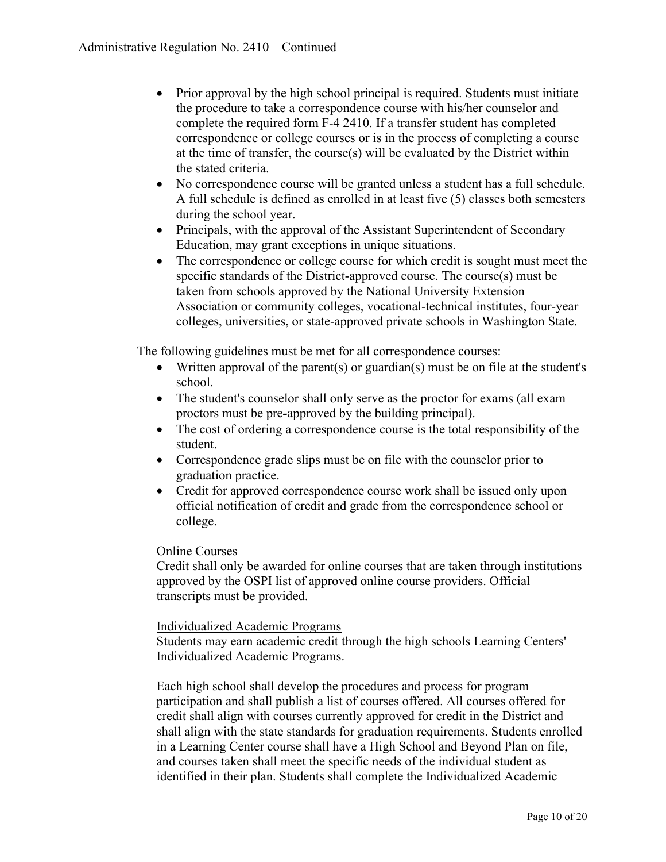- Prior approval by the high school principal is required. Students must initiate the procedure to take a correspondence course with his/her counselor and complete the required form F-4 2410. If a transfer student has completed correspondence or college courses or is in the process of completing a course at the time of transfer, the course(s) will be evaluated by the District within the stated criteria.
- No correspondence course will be granted unless a student has a full schedule. A full schedule is defined as enrolled in at least five (5) classes both semesters during the school year.
- Principals, with the approval of the Assistant Superintendent of Secondary Education, may grant exceptions in unique situations.
- The correspondence or college course for which credit is sought must meet the specific standards of the District-approved course. The course(s) must be taken from schools approved by the National University Extension Association or community colleges, vocational-technical institutes, four-year colleges, universities, or state-approved private schools in Washington State.

The following guidelines must be met for all correspondence courses:

- Written approval of the parent(s) or guardian(s) must be on file at the student's school.
- The student's counselor shall only serve as the proctor for exams (all exam proctors must be pre*-*approved by the building principal).
- The cost of ordering a correspondence course is the total responsibility of the student.
- Correspondence grade slips must be on file with the counselor prior to graduation practice.
- Credit for approved correspondence course work shall be issued only upon official notification of credit and grade from the correspondence school or college.

### Online Courses

Credit shall only be awarded for online courses that are taken through institutions approved by the OSPI list of approved online course providers. Official transcripts must be provided.

#### Individualized Academic Programs

Students may earn academic credit through the high schools Learning Centers' Individualized Academic Programs.

Each high school shall develop the procedures and process for program participation and shall publish a list of courses offered. All courses offered for credit shall align with courses currently approved for credit in the District and shall align with the state standards for graduation requirements. Students enrolled in a Learning Center course shall have a High School and Beyond Plan on file, and courses taken shall meet the specific needs of the individual student as identified in their plan. Students shall complete the Individualized Academic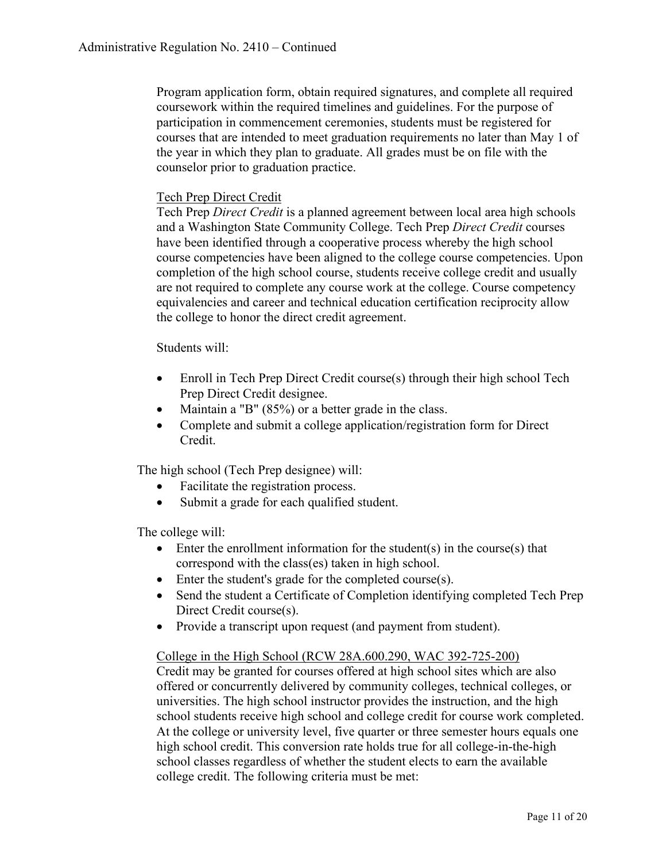Program application form, obtain required signatures, and complete all required coursework within the required timelines and guidelines. For the purpose of participation in commencement ceremonies, students must be registered for courses that are intended to meet graduation requirements no later than May 1 of the year in which they plan to graduate. All grades must be on file with the counselor prior to graduation practice.

### Tech Prep Direct Credit

Tech Prep *Direct Credit* is a planned agreement between local area high schools and a Washington State Community College. Tech Prep *Direct Credit* courses have been identified through a cooperative process whereby the high school course competencies have been aligned to the college course competencies. Upon completion of the high school course, students receive college credit and usually are not required to complete any course work at the college. Course competency equivalencies and career and technical education certification reciprocity allow the college to honor the direct credit agreement.

Students will:

- Enroll in Tech Prep Direct Credit course(s) through their high school Tech Prep Direct Credit designee.
- Maintain a "B" (85%) or a better grade in the class.
- Complete and submit a college application/registration form for Direct Credit.

The high school (Tech Prep designee) will:

- Facilitate the registration process.
- Submit a grade for each qualified student.

The college will:

- Enter the enrollment information for the student(s) in the course(s) that correspond with the class(es) taken in high school.
- Enter the student's grade for the completed course(s).
- Send the student a Certificate of Completion identifying completed Tech Prep Direct Credit course(s).
- Provide a transcript upon request (and payment from student).

### College in the High School (RCW 28A.600.290, WAC 392-725-200)

Credit may be granted for courses offered at high school sites which are also offered or concurrently delivered by community colleges, technical colleges, or universities. The high school instructor provides the instruction, and the high school students receive high school and college credit for course work completed. At the college or university level, five quarter or three semester hours equals one high school credit. This conversion rate holds true for all college-in-the-high school classes regardless of whether the student elects to earn the available college credit. The following criteria must be met: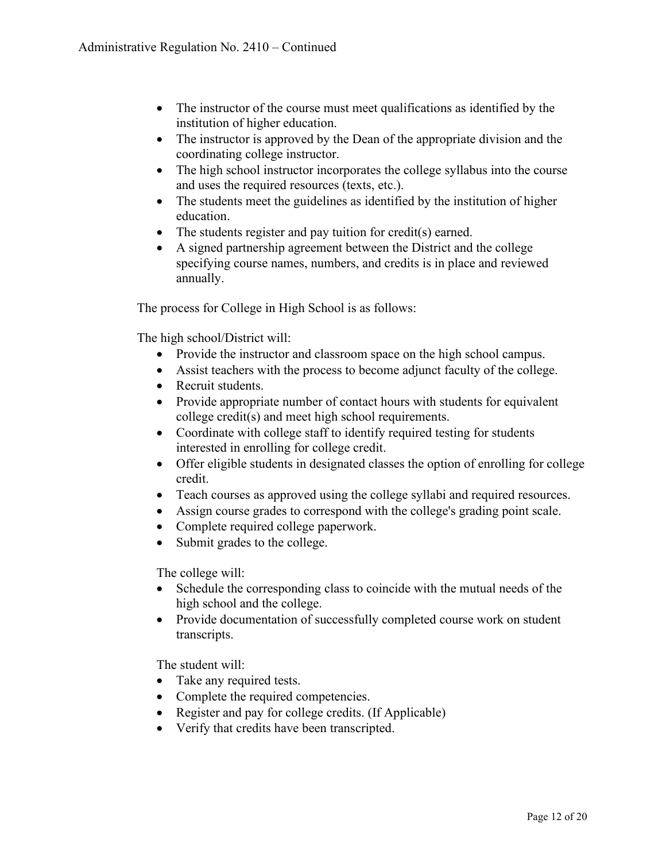- The instructor of the course must meet qualifications as identified by the institution of higher education.
- The instructor is approved by the Dean of the appropriate division and the coordinating college instructor.
- The high school instructor incorporates the college syllabus into the course and uses the required resources (texts, etc.).
- The students meet the guidelines as identified by the institution of higher education.
- The students register and pay tuition for credit(s) earned.
- A signed partnership agreement between the District and the college specifying course names, numbers, and credits is in place and reviewed annually.

The process for College in High School is as follows:

The high school/District will:

- Provide the instructor and classroom space on the high school campus.
- Assist teachers with the process to become adjunct faculty of the college.
- Recruit students.
- Provide appropriate number of contact hours with students for equivalent college credit(s) and meet high school requirements.
- Coordinate with college staff to identify required testing for students interested in enrolling for college credit.
- Offer eligible students in designated classes the option of enrolling for college credit.
- Teach courses as approved using the college syllabi and required resources.
- Assign course grades to correspond with the college's grading point scale.
- Complete required college paperwork.
- Submit grades to the college.

The college will:

- Schedule the corresponding class to coincide with the mutual needs of the high school and the college.
- Provide documentation of successfully completed course work on student transcripts.

The student will:

- Take any required tests.
- Complete the required competencies.
- Register and pay for college credits. (If Applicable)
- Verify that credits have been transcripted.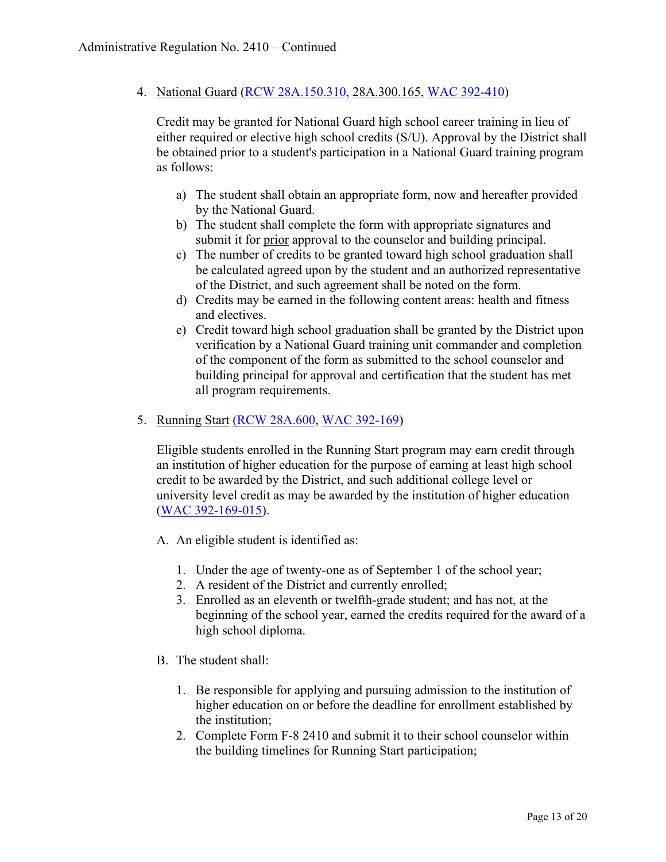4. National Guard [\(RCW 28A.150.310,](http://apps.leg.wa.gov/rcw/default.aspx?cite=28A.150.310) 28A.300.165, [WAC 392-410\)](http://apps.leg.wa.gov/wac/default.aspx?cite=392-410-320)

Credit may be granted for National Guard high school career training in lieu of either required or elective high school credits (S/U). Approval by the District shall be obtained prior to a student's participation in a National Guard training program as follows:

- a) The student shall obtain an appropriate form, now and hereafter provided by the National Guard.
- b) The student shall complete the form with appropriate signatures and submit it for prior approval to the counselor and building principal.
- c) The number of credits to be granted toward high school graduation shall be calculated agreed upon by the student and an authorized representative of the District, and such agreement shall be noted on the form.
- d) Credits may be earned in the following content areas: health and fitness and electives.
- e) Credit toward high school graduation shall be granted by the District upon verification by a National Guard training unit commander and completion of the component of the form as submitted to the school counselor and building principal for approval and certification that the student has met all program requirements.
- 5. Running Start [\(RCW 28A.600,](http://apps.leg.wa.gov/rcw/default.aspx?cite=28A.600.390) [WAC 392-169\)](http://apps.leg.wa.gov/wac/default.aspx?cite=392-169)

Eligible students enrolled in the Running Start program may earn credit through an institution of higher education for the purpose of earning at least high school credit to be awarded by the District, and such additional college level or university level credit as may be awarded by the institution of higher education [\(WAC 392-169-015\)](http://apps.leg.wa.gov/wac/default.aspx?cite=392-169-015).

- A. An eligible student is identified as:
	- 1. Under the age of twenty-one as of September 1 of the school year;
	- 2. A resident of the District and currently enrolled;
	- 3. Enrolled as an eleventh or twelfth-grade student; and has not, at the beginning of the school year, earned the credits required for the award of a high school diploma.
- B. The student shall:
	- 1. Be responsible for applying and pursuing admission to the institution of higher education on or before the deadline for enrollment established by the institution;
	- 2. Complete Form F-8 2410 and submit it to their school counselor within the building timelines for Running Start participation;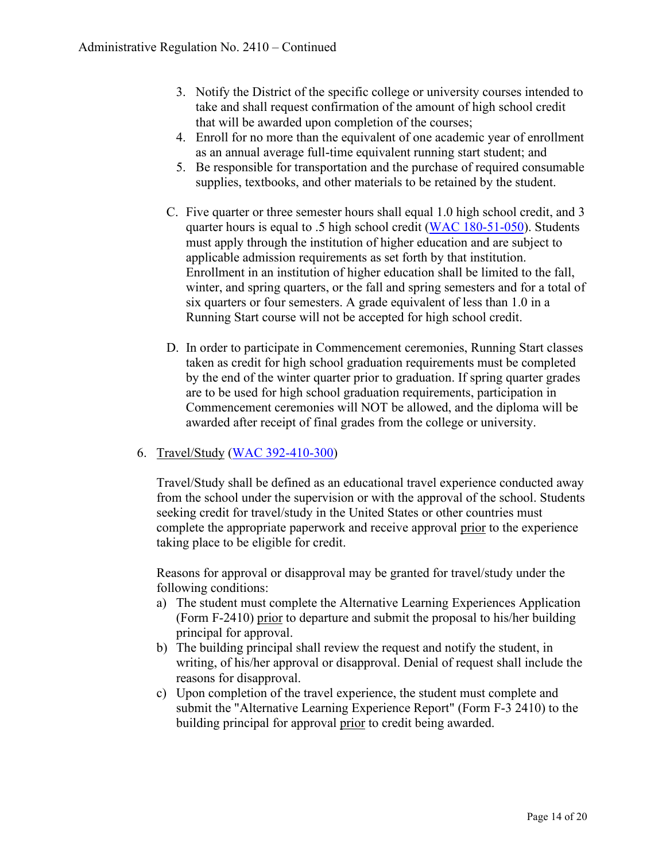- 3. Notify the District of the specific college or university courses intended to take and shall request confirmation of the amount of high school credit that will be awarded upon completion of the courses;
- 4. Enroll for no more than the equivalent of one academic year of enrollment as an annual average full-time equivalent running start student; and
- 5. Be responsible for transportation and the purchase of required consumable supplies, textbooks, and other materials to be retained by the student.
- C. Five quarter or three semester hours shall equal 1.0 high school credit, and 3 quarter hours is equal to .5 high school credit [\(WAC 180-51-050\)](http://apps.leg.wa.gov/wac/default.aspx?cite=180-51-050). Students must apply through the institution of higher education and are subject to applicable admission requirements as set forth by that institution. Enrollment in an institution of higher education shall be limited to the fall, winter, and spring quarters, or the fall and spring semesters and for a total of six quarters or four semesters. A grade equivalent of less than 1.0 in a Running Start course will not be accepted for high school credit.
- D. In order to participate in Commencement ceremonies, Running Start classes taken as credit for high school graduation requirements must be completed by the end of the winter quarter prior to graduation. If spring quarter grades are to be used for high school graduation requirements, participation in Commencement ceremonies will NOT be allowed, and the diploma will be awarded after receipt of final grades from the college or university.

# 6. Travel/Study [\(WAC 392-410-300\)](http://apps.leg.wa.gov/wac/default.aspx?cite=392-410-300)

Travel/Study shall be defined as an educational travel experience conducted away from the school under the supervision or with the approval of the school. Students seeking credit for travel/study in the United States or other countries must complete the appropriate paperwork and receive approval prior to the experience taking place to be eligible for credit.

Reasons for approval or disapproval may be granted for travel/study under the following conditions:

- a) The student must complete the Alternative Learning Experiences Application (Form F-2410) prior to departure and submit the proposal to his/her building principal for approval.
- b) The building principal shall review the request and notify the student, in writing, of his/her approval or disapproval. Denial of request shall include the reasons for disapproval.
- c) Upon completion of the travel experience, the student must complete and submit the "Alternative Learning Experience Report" (Form F-3 2410) to the building principal for approval prior to credit being awarded.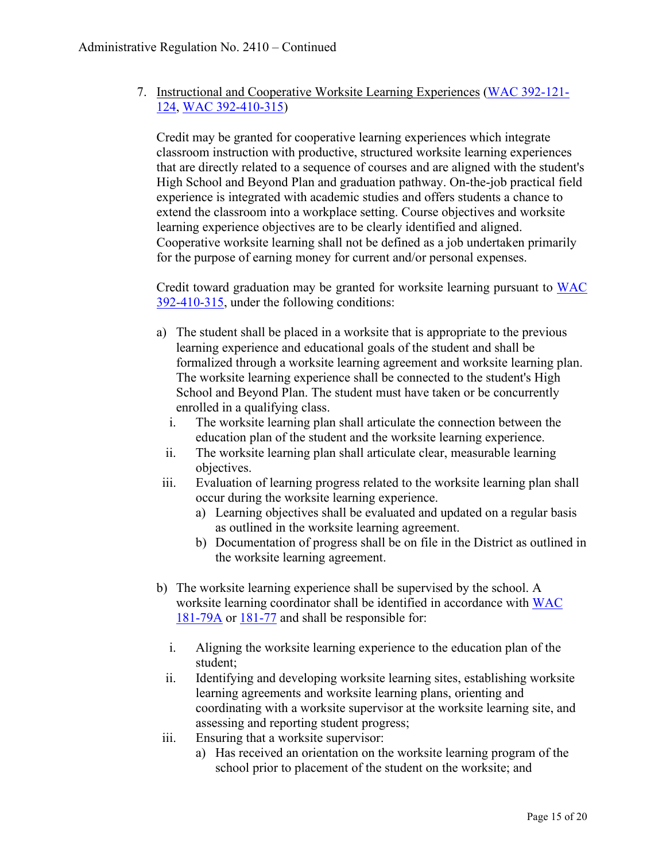7. Instructional and Cooperative Worksite Learning Experiences [\(WAC 392-121-](http://apps.leg.wa.gov/wac/default.aspx?cite=392-121-124) [124,](http://apps.leg.wa.gov/wac/default.aspx?cite=392-121-124) [WAC 392-410-315\)](http://apps.leg.wa.gov/wac/default.aspx?cite=392-410-315)

Credit may be granted for cooperative learning experiences which integrate classroom instruction with productive, structured worksite learning experiences that are directly related to a sequence of courses and are aligned with the student's High School and Beyond Plan and graduation pathway. On-the-job practical field experience is integrated with academic studies and offers students a chance to extend the classroom into a workplace setting. Course objectives and worksite learning experience objectives are to be clearly identified and aligned. Cooperative worksite learning shall not be defined as a job undertaken primarily for the purpose of earning money for current and/or personal expenses.

Credit toward graduation may be granted for worksite learning pursuant to [WAC](http://apps.leg.wa.gov/wac/default.aspx?cite=392-410-315)  [392-410-315,](http://apps.leg.wa.gov/wac/default.aspx?cite=392-410-315) under the following conditions:

- a) The student shall be placed in a worksite that is appropriate to the previous learning experience and educational goals of the student and shall be formalized through a worksite learning agreement and worksite learning plan. The worksite learning experience shall be connected to the student's High School and Beyond Plan. The student must have taken or be concurrently enrolled in a qualifying class.
	- i. The worksite learning plan shall articulate the connection between the education plan of the student and the worksite learning experience.
	- ii. The worksite learning plan shall articulate clear, measurable learning objectives.
- iii. Evaluation of learning progress related to the worksite learning plan shall occur during the worksite learning experience.
	- a) Learning objectives shall be evaluated and updated on a regular basis as outlined in the worksite learning agreement.
	- b) Documentation of progress shall be on file in the District as outlined in the worksite learning agreement.
- b) The worksite learning experience shall be supervised by the school. A worksite learning coordinator shall be identified in accordance with [WAC](http://apps.leg.wa.gov/wac/default.aspx?cite=181-79A)  [181-79A](http://apps.leg.wa.gov/wac/default.aspx?cite=181-79A) or [181-77](http://apps.leg.wa.gov/wac/default.aspx?cite=181-77) and shall be responsible for:
	- i. Aligning the worksite learning experience to the education plan of the student;
	- ii. Identifying and developing worksite learning sites, establishing worksite learning agreements and worksite learning plans, orienting and coordinating with a worksite supervisor at the worksite learning site, and assessing and reporting student progress;
- iii. Ensuring that a worksite supervisor:
	- a) Has received an orientation on the worksite learning program of the school prior to placement of the student on the worksite; and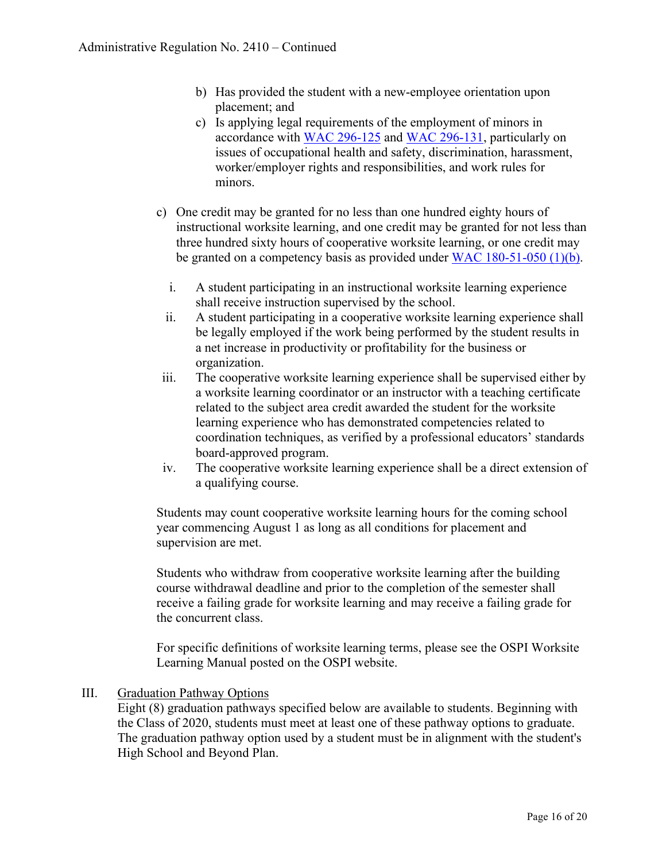- b) Has provided the student with a new-employee orientation upon placement; and
- c) Is applying legal requirements of the employment of minors in accordance with [WAC 296-125](http://apps.leg.wa.gov/wac/default.aspx?cite=296-125) and [WAC 296-131,](http://apps.leg.wa.gov/wac/default.aspx?cite=296-131) particularly on issues of occupational health and safety, discrimination, harassment, worker/employer rights and responsibilities, and work rules for minors.
- c) One credit may be granted for no less than one hundred eighty hours of instructional worksite learning, and one credit may be granted for not less than three hundred sixty hours of cooperative worksite learning, or one credit may be granted on a competency basis as provided under [WAC 180-51-050 \(1\)\(b\).](http://apps.leg.wa.gov/wac/default.aspx?cite=180-51-050)
	- i. A student participating in an instructional worksite learning experience shall receive instruction supervised by the school.
	- ii. A student participating in a cooperative worksite learning experience shall be legally employed if the work being performed by the student results in a net increase in productivity or profitability for the business or organization.
- iii. The cooperative worksite learning experience shall be supervised either by a worksite learning coordinator or an instructor with a teaching certificate related to the subject area credit awarded the student for the worksite learning experience who has demonstrated competencies related to coordination techniques, as verified by a professional educators' standards board-approved program.
- iv. The cooperative worksite learning experience shall be a direct extension of a qualifying course.

Students may count cooperative worksite learning hours for the coming school year commencing August 1 as long as all conditions for placement and supervision are met.

Students who withdraw from cooperative worksite learning after the building course withdrawal deadline and prior to the completion of the semester shall receive a failing grade for worksite learning and may receive a failing grade for the concurrent class.

For specific definitions of worksite learning terms, please see the OSPI Worksite Learning Manual posted on the OSPI website.

# III. Graduation Pathway Options

Eight (8) graduation pathways specified below are available to students. Beginning with the Class of 2020, students must meet at least one of these pathway options to graduate. The graduation pathway option used by a student must be in alignment with the student's High School and Beyond Plan.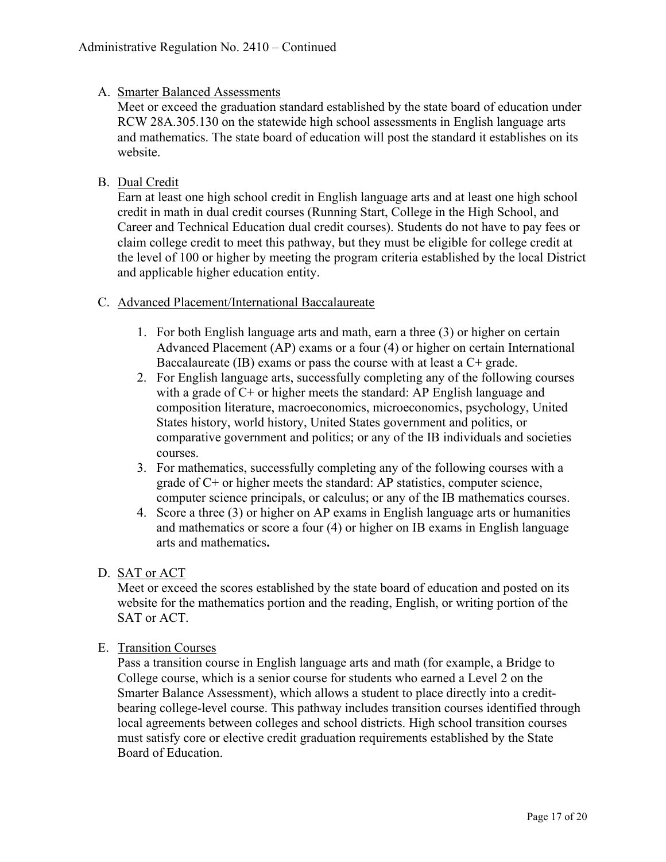### A. Smarter Balanced Assessments

Meet or exceed the graduation standard established by the state board of education under RCW 28A.305.130 on the statewide high school assessments in English language arts and mathematics. The state board of education will post the standard it establishes on its website.

# B. Dual Credit

Earn at least one high school credit in English language arts and at least one high school credit in math in dual credit courses (Running Start, College in the High School, and Career and Technical Education dual credit courses). Students do not have to pay fees or claim college credit to meet this pathway, but they must be eligible for college credit at the level of 100 or higher by meeting the program criteria established by the local District and applicable higher education entity.

### C. Advanced Placement/International Baccalaureate

- 1. For both English language arts and math, earn a three (3) or higher on certain Advanced Placement (AP) exams or a four (4) or higher on certain International Baccalaureate (IB) exams or pass the course with at least a C+ grade.
- 2. For English language arts, successfully completing any of the following courses with a grade of C+ or higher meets the standard: AP English language and composition literature, macroeconomics, microeconomics, psychology, United States history, world history, United States government and politics, or comparative government and politics; or any of the IB individuals and societies courses.
- 3. For mathematics, successfully completing any of the following courses with a grade of  $C<sup>+</sup>$  or higher meets the standard: AP statistics, computer science, computer science principals, or calculus; or any of the IB mathematics courses.
- 4. Score a three (3) or higher on AP exams in English language arts or humanities and mathematics or score a four (4) or higher on IB exams in English language arts and mathematics**.**

# D. SAT or ACT

Meet or exceed the scores established by the state board of education and posted on its website for the mathematics portion and the reading, English, or writing portion of the SAT or ACT.

### E. Transition Courses

Pass a transition course in English language arts and math (for example, a Bridge to College course, which is a senior course for students who earned a Level 2 on the Smarter Balance Assessment), which allows a student to place directly into a creditbearing college-level course. This pathway includes transition courses identified through local agreements between colleges and school districts. High school transition courses must satisfy core or elective credit graduation requirements established by the State Board of Education.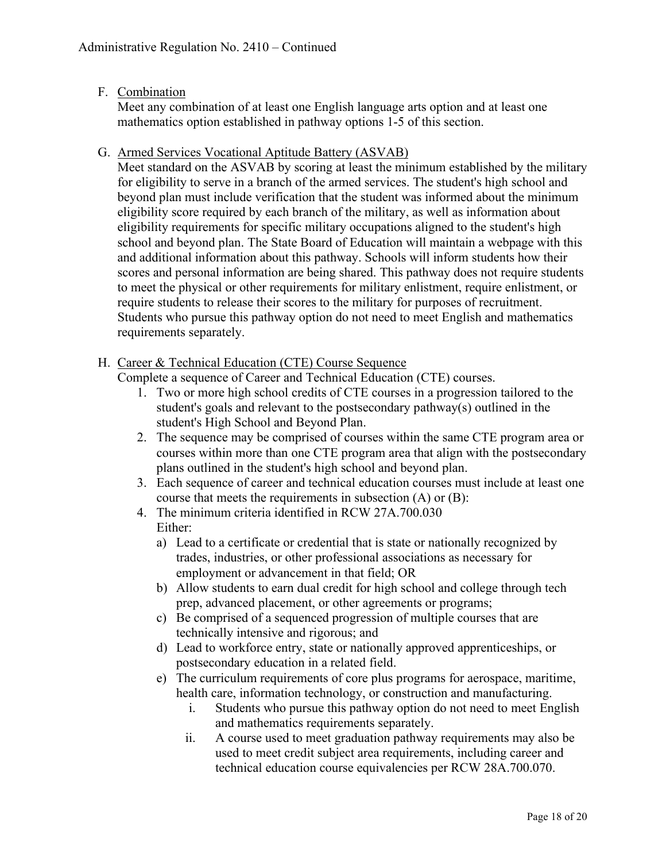# F. Combination

Meet any combination of at least one English language arts option and at least one mathematics option established in pathway options 1-5 of this section.

### G. Armed Services Vocational Aptitude Battery (ASVAB)

Meet standard on the ASVAB by scoring at least the minimum established by the military for eligibility to serve in a branch of the armed services. The student's high school and beyond plan must include verification that the student was informed about the minimum eligibility score required by each branch of the military, as well as information about eligibility requirements for specific military occupations aligned to the student's high school and beyond plan. The State Board of Education will maintain a webpage with this and additional information about this pathway. Schools will inform students how their scores and personal information are being shared. This pathway does not require students to meet the physical or other requirements for military enlistment, require enlistment, or require students to release their scores to the military for purposes of recruitment. Students who pursue this pathway option do not need to meet English and mathematics requirements separately.

# H. Career & Technical Education (CTE) Course Sequence

Complete a sequence of Career and Technical Education (CTE) courses.

- 1. Two or more high school credits of CTE courses in a progression tailored to the student's goals and relevant to the postsecondary pathway(s) outlined in the student's High School and Beyond Plan.
- 2. The sequence may be comprised of courses within the same CTE program area or courses within more than one CTE program area that align with the postsecondary plans outlined in the student's high school and beyond plan.
- 3. Each sequence of career and technical education courses must include at least one course that meets the requirements in subsection (A) or (B):
- 4. The minimum criteria identified in RCW 27A.700.030 Either:
	- a) Lead to a certificate or credential that is state or nationally recognized by trades, industries, or other professional associations as necessary for employment or advancement in that field; OR
	- b) Allow students to earn dual credit for high school and college through tech prep, advanced placement, or other agreements or programs;
	- c) Be comprised of a sequenced progression of multiple courses that are technically intensive and rigorous; and
	- d) Lead to workforce entry, state or nationally approved apprenticeships, or postsecondary education in a related field.
	- e) The curriculum requirements of core plus programs for aerospace, maritime, health care, information technology, or construction and manufacturing.
		- i. Students who pursue this pathway option do not need to meet English and mathematics requirements separately.
		- ii. A course used to meet graduation pathway requirements may also be used to meet credit subject area requirements, including career and technical education course equivalencies per RCW 28A.700.070.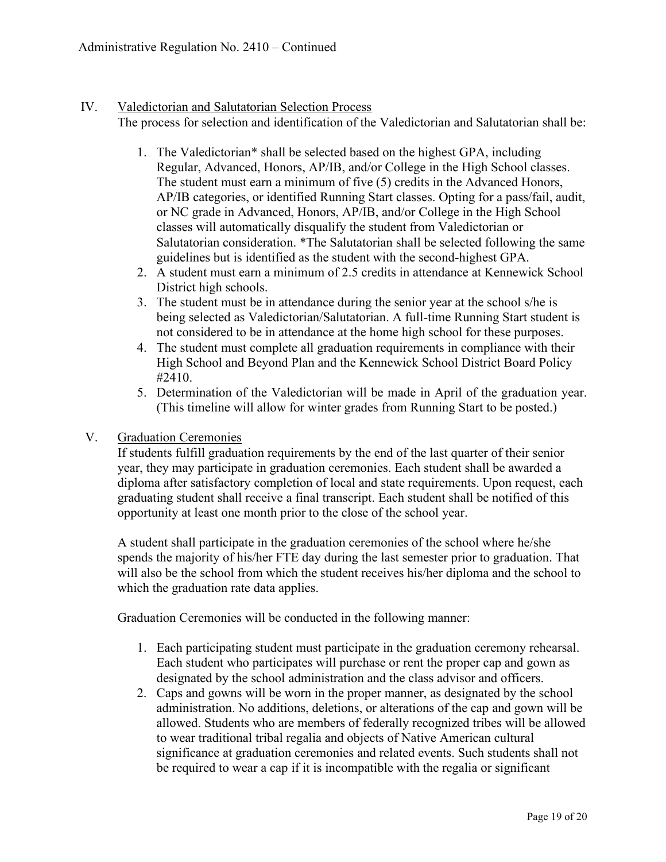#### IV. Valedictorian and Salutatorian Selection Process

The process for selection and identification of the Valedictorian and Salutatorian shall be:

- 1. The Valedictorian\* shall be selected based on the highest GPA, including Regular, Advanced, Honors, AP/IB, and/or College in the High School classes. The student must earn a minimum of five (5) credits in the Advanced Honors, AP/IB categories, or identified Running Start classes. Opting for a pass/fail, audit, or NC grade in Advanced, Honors, AP/IB, and/or College in the High School classes will automatically disqualify the student from Valedictorian or Salutatorian consideration. \*The Salutatorian shall be selected following the same guidelines but is identified as the student with the second-highest GPA.
- 2. A student must earn a minimum of 2.5 credits in attendance at Kennewick School District high schools.
- 3. The student must be in attendance during the senior year at the school s/he is being selected as Valedictorian/Salutatorian. A full-time Running Start student is not considered to be in attendance at the home high school for these purposes.
- 4. The student must complete all graduation requirements in compliance with their High School and Beyond Plan and the Kennewick School District Board Policy #2410.
- 5. Determination of the Valedictorian will be made in April of the graduation year. (This timeline will allow for winter grades from Running Start to be posted.)

### V. Graduation Ceremonies

If students fulfill graduation requirements by the end of the last quarter of their senior year, they may participate in graduation ceremonies. Each student shall be awarded a diploma after satisfactory completion of local and state requirements. Upon request, each graduating student shall receive a final transcript. Each student shall be notified of this opportunity at least one month prior to the close of the school year.

A student shall participate in the graduation ceremonies of the school where he/she spends the majority of his/her FTE day during the last semester prior to graduation. That will also be the school from which the student receives his/her diploma and the school to which the graduation rate data applies.

Graduation Ceremonies will be conducted in the following manner:

- 1. Each participating student must participate in the graduation ceremony rehearsal. Each student who participates will purchase or rent the proper cap and gown as designated by the school administration and the class advisor and officers.
- 2. Caps and gowns will be worn in the proper manner, as designated by the school administration. No additions, deletions, or alterations of the cap and gown will be allowed. Students who are members of federally recognized tribes will be allowed to wear traditional tribal regalia and objects of Native American cultural significance at graduation ceremonies and related events. Such students shall not be required to wear a cap if it is incompatible with the regalia or significant